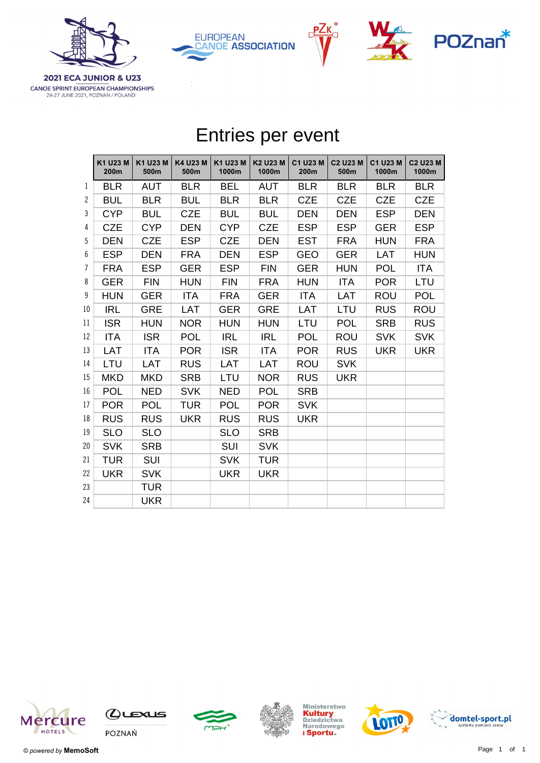







**2021 ECA JUNIOR & U23** CANOE SPRINT EUROPEAN CHAMPIONSHIPS 24-27 JUNE 2021, POZNAN / POLAND

|                | Entries per event |                  |                  |                   |                   |                  |                         |                   |                          |  |
|----------------|-------------------|------------------|------------------|-------------------|-------------------|------------------|-------------------------|-------------------|--------------------------|--|
|                | K1 U23 M<br>200m  | K1 U23 M<br>500m | K4 U23 M<br>500m | K1 U23 M<br>1000m | K2 U23 M<br>1000m | C1 U23 M<br>200m | <b>C2 U23 M</b><br>500m | C1 U23 M<br>1000m | <b>C2 U23 M</b><br>1000m |  |
| 1              | <b>BLR</b>        | <b>AUT</b>       | <b>BLR</b>       | <b>BEL</b>        | <b>AUT</b>        | <b>BLR</b>       | <b>BLR</b>              | <b>BLR</b>        | <b>BLR</b>               |  |
| $\mathbf{2}$   | <b>BUL</b>        | <b>BLR</b>       | <b>BUL</b>       | <b>BLR</b>        | <b>BLR</b>        | <b>CZE</b>       | <b>CZE</b>              | <b>CZE</b>        | <b>CZE</b>               |  |
| 3              | <b>CYP</b>        | <b>BUL</b>       | <b>CZE</b>       | <b>BUL</b>        | <b>BUL</b>        | <b>DEN</b>       | <b>DEN</b>              | <b>ESP</b>        | <b>DEN</b>               |  |
| 4              | <b>CZE</b>        | <b>CYP</b>       | <b>DEN</b>       | <b>CYP</b>        | <b>CZE</b>        | <b>ESP</b>       | <b>ESP</b>              | <b>GER</b>        | <b>ESP</b>               |  |
| 5              | <b>DEN</b>        | <b>CZE</b>       | <b>ESP</b>       | <b>CZE</b>        | <b>DEN</b>        | <b>EST</b>       | <b>FRA</b>              | <b>HUN</b>        | <b>FRA</b>               |  |
| 6              | <b>ESP</b>        | <b>DEN</b>       | <b>FRA</b>       | <b>DEN</b>        | <b>ESP</b>        | <b>GEO</b>       | <b>GER</b>              | <b>LAT</b>        | <b>HUN</b>               |  |
| $\overline{7}$ | <b>FRA</b>        | <b>ESP</b>       | <b>GER</b>       | <b>ESP</b>        | <b>FIN</b>        | <b>GER</b>       | <b>HUN</b>              | <b>POL</b>        | <b>ITA</b>               |  |
| 8              | <b>GER</b>        | <b>FIN</b>       | <b>HUN</b>       | <b>FIN</b>        | <b>FRA</b>        | <b>HUN</b>       | <b>ITA</b>              | <b>POR</b>        | LTU                      |  |
| 9              | <b>HUN</b>        | <b>GER</b>       | <b>ITA</b>       | <b>FRA</b>        | <b>GER</b>        | <b>ITA</b>       | LAT                     | <b>ROU</b>        | <b>POL</b>               |  |
| 10             | <b>IRL</b>        | <b>GRE</b>       | LAT              | <b>GER</b>        | <b>GRE</b>        | LAT              | LTU                     | <b>RUS</b>        | <b>ROU</b>               |  |
| 11             | <b>ISR</b>        | <b>HUN</b>       | <b>NOR</b>       | <b>HUN</b>        | <b>HUN</b>        | LTU              | <b>POL</b>              | <b>SRB</b>        | <b>RUS</b>               |  |
| 12             | <b>ITA</b>        | <b>ISR</b>       | <b>POL</b>       | <b>IRL</b>        | <b>IRL</b>        | <b>POL</b>       | <b>ROU</b>              | <b>SVK</b>        | <b>SVK</b>               |  |
| 13             | <b>LAT</b>        | <b>ITA</b>       | <b>POR</b>       | <b>ISR</b>        | <b>ITA</b>        | <b>POR</b>       | <b>RUS</b>              | <b>UKR</b>        | <b>UKR</b>               |  |
| 14             | LTU               | <b>LAT</b>       | <b>RUS</b>       | <b>LAT</b>        | <b>LAT</b>        | <b>ROU</b>       | <b>SVK</b>              |                   |                          |  |
| 15             | <b>MKD</b>        | <b>MKD</b>       | <b>SRB</b>       | LTU               | <b>NOR</b>        | <b>RUS</b>       | <b>UKR</b>              |                   |                          |  |
| 16             | <b>POL</b>        | <b>NED</b>       | <b>SVK</b>       | <b>NED</b>        | <b>POL</b>        | <b>SRB</b>       |                         |                   |                          |  |
| 17             | <b>POR</b>        | <b>POL</b>       | <b>TUR</b>       | <b>POL</b>        | <b>POR</b>        | <b>SVK</b>       |                         |                   |                          |  |
| 18             | <b>RUS</b>        | <b>RUS</b>       | <b>UKR</b>       | <b>RUS</b>        | <b>RUS</b>        | <b>UKR</b>       |                         |                   |                          |  |
| 19             | <b>SLO</b>        | <b>SLO</b>       |                  | <b>SLO</b>        | <b>SRB</b>        |                  |                         |                   |                          |  |
| 20             | <b>SVK</b>        | <b>SRB</b>       |                  | <b>SUI</b>        | <b>SVK</b>        |                  |                         |                   |                          |  |
| 21             | <b>TUR</b>        | <b>SUI</b>       |                  | <b>SVK</b>        | <b>TUR</b>        |                  |                         |                   |                          |  |
| 22             | <b>UKR</b>        | <b>SVK</b>       |                  | <b>UKR</b>        | <b>UKR</b>        |                  |                         |                   |                          |  |
| 23             |                   | <b>TUR</b>       |                  |                   |                   |                  |                         |                   |                          |  |
| 24             |                   | <b>UKR</b>       |                  |                   |                   |                  |                         |                   |                          |  |